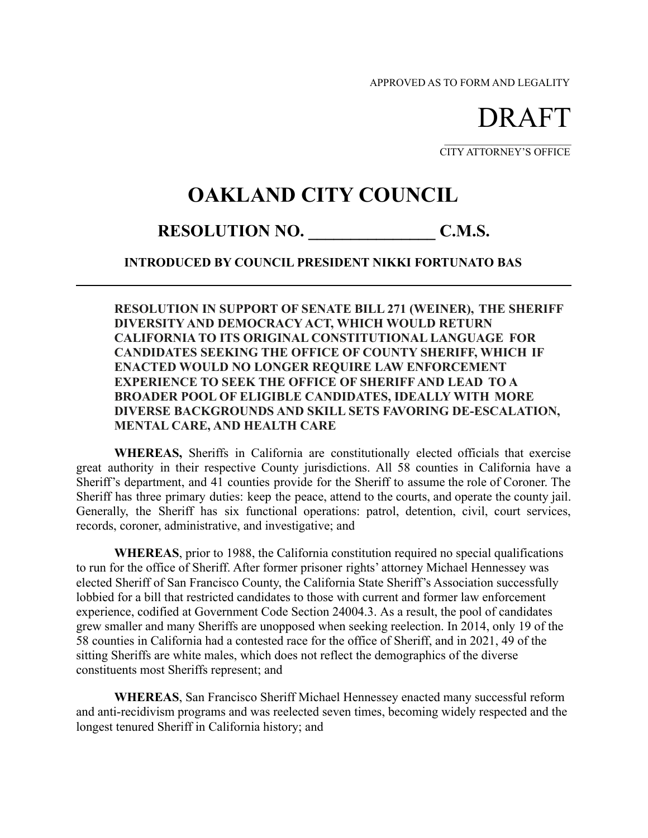APPROVED AS TO FORM AND LEGALITY

DRAFT

CITY ATTORNEY'S OFFICE

## **OAKLAND CITY COUNCIL**

## **RESOLUTION NO. \_\_\_\_\_\_\_\_\_\_\_\_\_\_\_ C.M.S.**

**INTRODUCED BY COUNCIL PRESIDENT NIKKI FORTUNATO BAS**

**RESOLUTION IN SUPPORT OF SENATE BILL 271 (WEINER), THE SHERIFF DIVERSITY AND DEMOCRACY ACT, WHICH WOULD RETURN CALIFORNIA TO ITS ORIGINAL CONSTITUTIONAL LANGUAGE FOR CANDIDATES SEEKING THE OFFICE OF COUNTY SHERIFF, WHICH IF ENACTED WOULD NO LONGER REQUIRE LAW ENFORCEMENT EXPERIENCE TO SEEK THE OFFICE OF SHERIFF AND LEAD TO A BROADER POOL OF ELIGIBLE CANDIDATES, IDEALLY WITH MORE DIVERSE BACKGROUNDS AND SKILL SETS FAVORING DE-ESCALATION, MENTAL CARE, AND HEALTH CARE**

**WHEREAS,** Sheriffs in California are constitutionally elected officials that exercise great authority in their respective County jurisdictions. All 58 counties in California have a Sheriff's department, and 41 counties provide for the Sheriff to assume the role of Coroner. The Sheriff has three primary duties: keep the peace, attend to the courts, and operate the county jail. Generally, the Sheriff has six functional operations: patrol, detention, civil, court services, records, coroner, administrative, and investigative; and

**WHEREAS**, prior to 1988, the California constitution required no special qualifications to run for the office of Sheriff. After former prisoner rights' attorney Michael Hennessey was elected Sheriff of San Francisco County, the California State Sheriff's Association successfully lobbied for a bill that restricted candidates to those with current and former law enforcement experience, codified at Government Code Section 24004.3. As a result, the pool of candidates grew smaller and many Sheriffs are unopposed when seeking reelection. In 2014, only 19 of the 58 counties in California had a contested race for the office of Sheriff, and in 2021, 49 of the sitting Sheriffs are white males, which does not reflect the demographics of the diverse constituents most Sheriffs represent; and

**WHEREAS**, San Francisco Sheriff Michael Hennessey enacted many successful reform and anti-recidivism programs and was reelected seven times, becoming widely respected and the longest tenured Sheriff in California history; and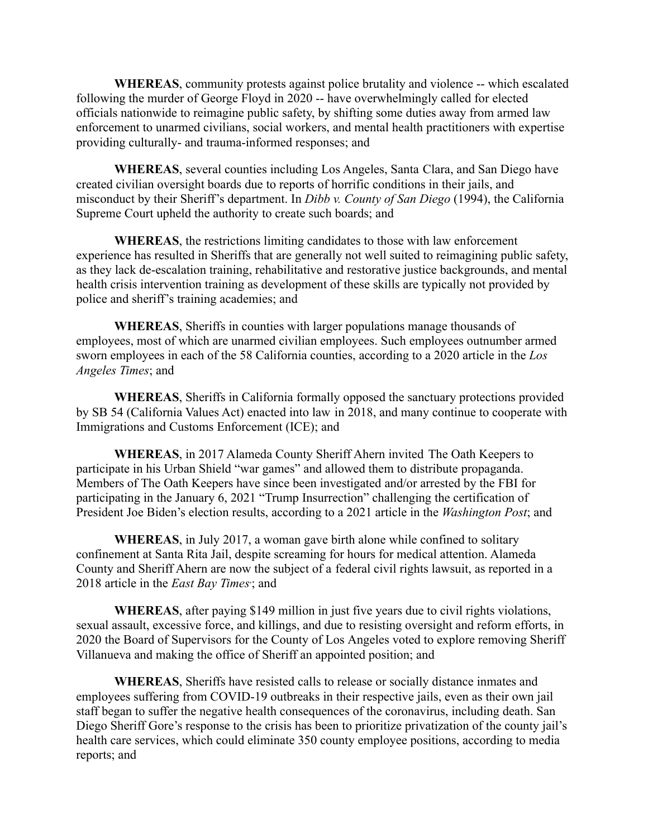**WHEREAS**, community protests against police brutality and violence -- which escalated following the murder of George Floyd in 2020 -- have overwhelmingly called for elected officials nationwide to reimagine public safety, by shifting some duties away from armed law enforcement to unarmed civilians, social workers, and mental health practitioners with expertise providing culturally- and trauma-informed responses; and

**WHEREAS**, several counties including Los Angeles, Santa Clara, and San Diego have created civilian oversight boards due to reports of horrific conditions in their jails, and misconduct by their Sheriff's department. In *Dibb v. County of San Diego* (1994), the California Supreme Court upheld the authority to create such boards; and

**WHEREAS**, the restrictions limiting candidates to those with law enforcement experience has resulted in Sheriffs that are generally not well suited to reimagining public safety, as they lack de-escalation training, rehabilitative and restorative justice backgrounds, and mental health crisis intervention training as development of these skills are typically not provided by police and sheriff's training academies; and

**WHEREAS**, Sheriffs in counties with larger populations manage thousands of employees, most of which are unarmed civilian employees. Such employees outnumber armed sworn employees in each of the 58 California counties, according to a 2020 article in the *Los Angeles Times*; and

**WHEREAS**, Sheriffs in California formally opposed the sanctuary protections provided by SB 54 (California Values Act) enacted into law in 2018, and many continue to cooperate with Immigrations and Customs Enforcement (ICE); and

**WHEREAS**, in 2017 Alameda County Sheriff Ahern invited The Oath Keepers to participate in his Urban Shield "war games" and allowed them to distribute propaganda. Members of The Oath Keepers have since been investigated and/or arrested by the FBI for participating in the January 6, 2021 "Trump Insurrection" challenging the certification of President Joe Biden's election results, according to a 2021 article in the *Washington Post*; and

**WHEREAS**, in July 2017, a woman gave birth alone while confined to solitary confinement at Santa Rita Jail, despite screaming for hours for medical attention. Alameda County and Sheriff Ahern are now the subject of a federal civil rights lawsuit, as reported in a 2018 article in the *East Bay Times*; and

**WHEREAS**, after paying \$149 million in just five years due to civil rights violations, sexual assault, excessive force, and killings, and due to resisting oversight and reform efforts, in 2020 the Board of Supervisors for the County of Los Angeles voted to explore removing Sheriff Villanueva and making the office of Sheriff an appointed position; and

**WHEREAS**, Sheriffs have resisted calls to release or socially distance inmates and employees suffering from COVID-19 outbreaks in their respective jails, even as their own jail staff began to suffer the negative health consequences of the coronavirus, including death. San Diego Sheriff Gore's response to the crisis has been to prioritize privatization of the county jail's health care services, which could eliminate 350 county employee positions, according to media reports; and